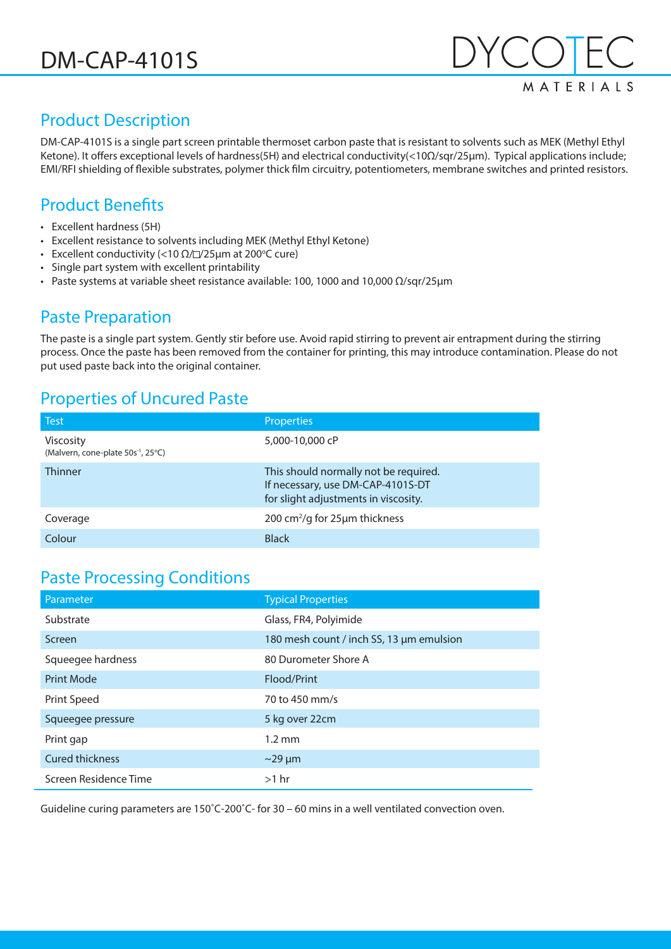**MATFRIAIS** 

# Product Description

DM-CAP-4101S is a single part screen printable thermoset carbon paste that is resistant to solvents such as MEK (Methyl Ethyl Ketone). It offers exceptional levels of hardness(5H) and electrical conductivity(<10Ω/sqr/25µm). Typical applications include; EMI/RFI shielding of flexible substrates, polymer thick film circuitry, potentiometers, membrane switches and printed resistors.

#### Product Benefits

- Excellent hardness (5H)
- Excellent resistance to solvents including MEK (Methyl Ethyl Ketone)
- Excellent conductivity (<10  $\Omega$ / $\square$ /25μm at 200°C cure)
- Single part system with excellent printability
- Paste systems at variable sheet resistance available: 100, 1000 and 10,000 Ω/sqr/25µm

#### Paste Preparation

The paste is a single part system. Gently stir before use. Avoid rapid stirring to prevent air entrapment during the stirring process. Once the paste has been removed from the container for printing, this may introduce contamination. Please do not put used paste back into the original container.

# Properties of Uncured Paste

| <b>Test</b>                                                        | <b>Properties</b>                                                                                                  |
|--------------------------------------------------------------------|--------------------------------------------------------------------------------------------------------------------|
| <b>Viscosity</b><br>(Malvern, cone-plate 50s <sup>-1</sup> , 25°C) | 5,000-10,000 cP                                                                                                    |
| <b>Thinner</b>                                                     | This should normally not be required.<br>If necessary, use DM-CAP-4101S-DT<br>for slight adjustments in viscosity. |
| Coverage                                                           | 200 cm <sup>2</sup> /g for 25µm thickness                                                                          |
| Colour                                                             | <b>Black</b>                                                                                                       |

#### Paste Processing Conditions

| Parameter              | <b>Typical Properties</b>                |
|------------------------|------------------------------------------|
| Substrate              | Glass, FR4, Polyimide                    |
| Screen                 | 180 mesh count / inch SS, 13 µm emulsion |
| Squeegee hardness      | 80 Durometer Shore A                     |
| <b>Print Mode</b>      | Flood/Print                              |
| Print Speed            | 70 to 450 mm/s                           |
| Squeegee pressure      | 5 kg over 22cm                           |
| Print gap              | $1.2 \text{ mm}$                         |
| <b>Cured thickness</b> | $\sim$ 29 µm                             |
| Screen Residence Time  | $>1$ hr                                  |

Guideline curing parameters are 150˚C-200˚C- for 30 – 60 mins in a well ventilated convection oven.